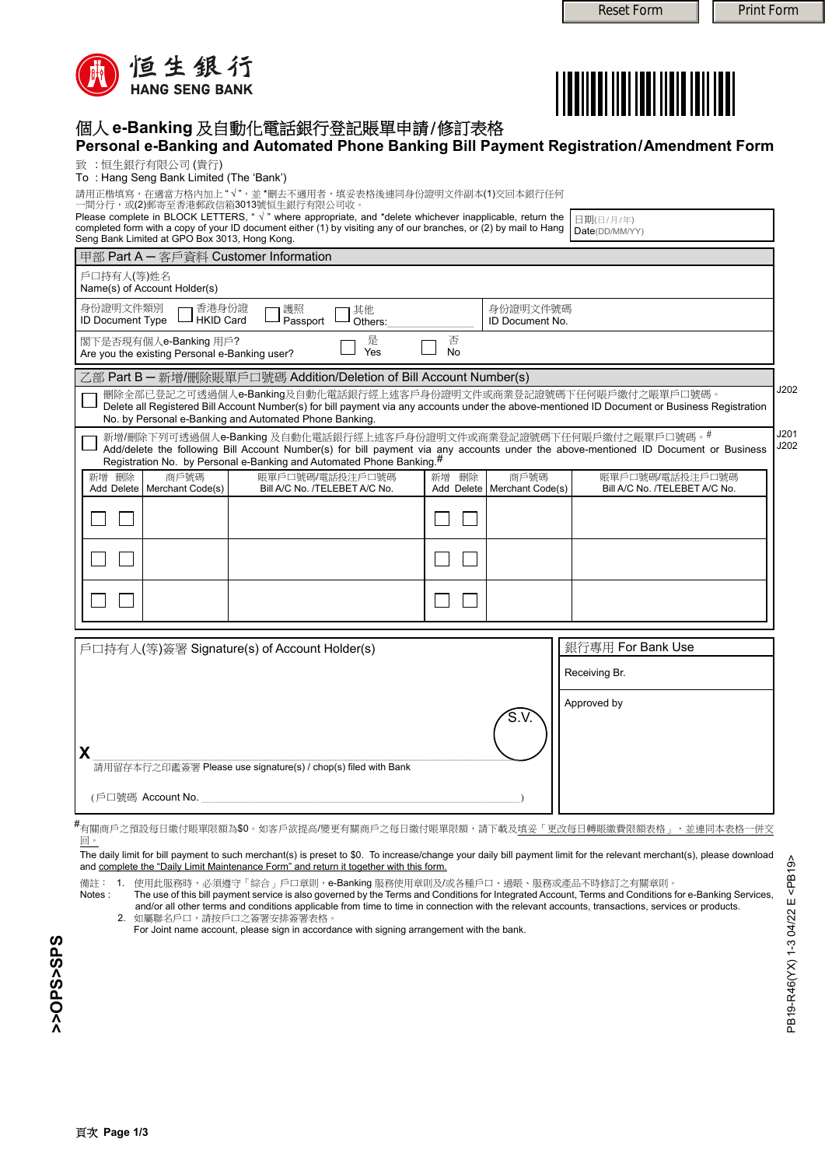PB19-R46(YX) 1-3 04/22 E <PB19>

PB19-R46(YX) 1-3 04/22 E<PB19>



## 個人 **e-Banking** 及自動化電話銀行登記賬單申請/修訂表格

| Personal e-Banking and Automated Phone Banking Bill Payment Registration/Amendment Form                                                                                                                                                                                                      |                                                    |                                                  |
|----------------------------------------------------------------------------------------------------------------------------------------------------------------------------------------------------------------------------------------------------------------------------------------------|----------------------------------------------------|--------------------------------------------------|
| 致:恒生銀行有限公司(貴行)<br>To: Hang Seng Bank Limited (The 'Bank')                                                                                                                                                                                                                                    |                                                    |                                                  |
| 請用正楷填寫,在適當方格內加上"√",並 *刪去不適用者,填妥表格後連同身份證明文件副本(1)交回本銀行任何                                                                                                                                                                                                                                       |                                                    |                                                  |
| 一間分行,或(2)郵寄至香港郵政信箱3013號恒生銀行有限公司收。<br>Please complete in BLOCK LETTERS, " √ " where appropriate, and *delete whichever inapplicable, return the                                                                                                                                               |                                                    | 日期(日/月/年)                                        |
| completed form with a copy of your ID document either (1) by visiting any of our branches, or (2) by mail to Hang<br>Seng Bank Limited at GPO Box 3013, Hong Kong.                                                                                                                           |                                                    | Date(DD/MM/YY)                                   |
| 甲部 Part A - 客戶資料 Customer Information                                                                                                                                                                                                                                                        |                                                    |                                                  |
| 戶口持有人(等)姓名<br>Name(s) of Account Holder(s)                                                                                                                                                                                                                                                   |                                                    |                                                  |
| 身份證明文件類別<br>香港身份證<br>護照<br>其他<br><b>ID Document Type</b><br><b>HKID Card</b><br>Passport<br>Others:                                                                                                                                                                                          | 身份證明文件號碼<br><b>ID Document No.</b>                 |                                                  |
| 是<br>閣下是否現有個人e-Banking 用戶?<br>Yes<br>Are you the existing Personal e-Banking user?                                                                                                                                                                                                           | 否<br><b>No</b>                                     |                                                  |
| 乙部 Part B - 新增/刪除賬單戶口號碼 Addition/Deletion of Bill Account Number(s)                                                                                                                                                                                                                          |                                                    |                                                  |
| 刪除全部已登記之可透過個人e-Banking及自動化電話銀行經上述客戶身份證明文件或商業登記證號碼下任何賬戶繳付之賬單戶口號碼。<br>Delete all Registered Bill Account Number(s) for bill payment via any accounts under the above-mentioned ID Document or Business Registration<br>No. by Personal e-Banking and Automated Phone Banking.                  |                                                    | J202                                             |
| 新增/刪除下列可透過個人e-Banking 及自動化電話銀行經上述客戶身份證明文件或商業登記證號碼下任何賬戶繳付之賬單戶口號碼。#<br>Add/delete the following Bill Account Number(s) for bill payment via any accounts under the above-mentioned ID Document or Business<br>Registration No. by Personal e-Banking and Automated Phone Banking. <sup>#</sup> |                                                    | J201<br>J202                                     |
| 刪除<br>商戶號碼<br>新增<br>賬單戶口號碼/電話投注戶口號碼<br>Add Delete   Merchant Code(s)<br>Bill A/C No. /TELEBET A/C No.                                                                                                                                                                                        | 商戶號碼<br>刪除<br>新增<br>Merchant Code(s)<br>Add Delete | 賬單戶口號碼/電話投注戶口號碼<br>Bill A/C No. /TELEBET A/C No. |
|                                                                                                                                                                                                                                                                                              |                                                    |                                                  |
|                                                                                                                                                                                                                                                                                              |                                                    |                                                  |
|                                                                                                                                                                                                                                                                                              |                                                    |                                                  |
|                                                                                                                                                                                                                                                                                              |                                                    |                                                  |
| 戶口持有人(等)簽署 Signature(s) of Account Holder(s)                                                                                                                                                                                                                                                 |                                                    | 銀行專用 For Bank Use                                |
|                                                                                                                                                                                                                                                                                              |                                                    | Receiving Br.                                    |
|                                                                                                                                                                                                                                                                                              |                                                    | Approved by                                      |
|                                                                                                                                                                                                                                                                                              | S.V                                                |                                                  |

(戶口號碼 Account No.

#<br>#有關商戶之預設每日繳付賬單限額為\$0。如客戶欲提高/變更有關商戶之每日繳付賬單限額,請下載及填妥「更改每日轉賬繳費限額表格」,並連同本表格一併交 回。

The daily limit for bill payment to such merchant(s) is preset to \$0. To increase/change your daily bill payment limit for the relevant merchant(s), please download and complete the "Daily Limit Maintenance Form" and return it together with this form.

備註: 1. 使用此服務時,必須遵守「綜合」戶口章則,e-Banking 服務使用章則及/或各種戶口、過賬、服務或產品不時修訂之有關章則。<br>Notes : The use of this bill payment service is also governed by the Terms and Conditions for Integrated Account, Terms and Conditions t The use of this bill payment service is also governed by the Terms and Conditions for Integrated Account, Terms and Conditions for e-Banking Services, and/or all other terms and conditions applicable from time to time in connection with the relevant accounts, transactions, services or products. 2. 如屬聯名戶口,請按戶口之簽署安排簽署表格。

For Joint name account, please sign in accordance with signing arrangement with the bank.

**X**\_\_\_\_\_\_\_\_\_\_\_\_\_\_\_\_\_\_\_\_\_\_\_\_\_\_\_\_\_\_\_\_\_\_\_\_\_\_\_\_\_\_\_\_\_\_\_\_\_\_\_\_\_\_\_\_\_\_\_\_\_\_\_\_\_\_\_\_\_\_\_\_\_\_\_\_\_\_\_ 請用留存本行之印鑑簽署 Please use signature(s) / chop(s) filed with Bank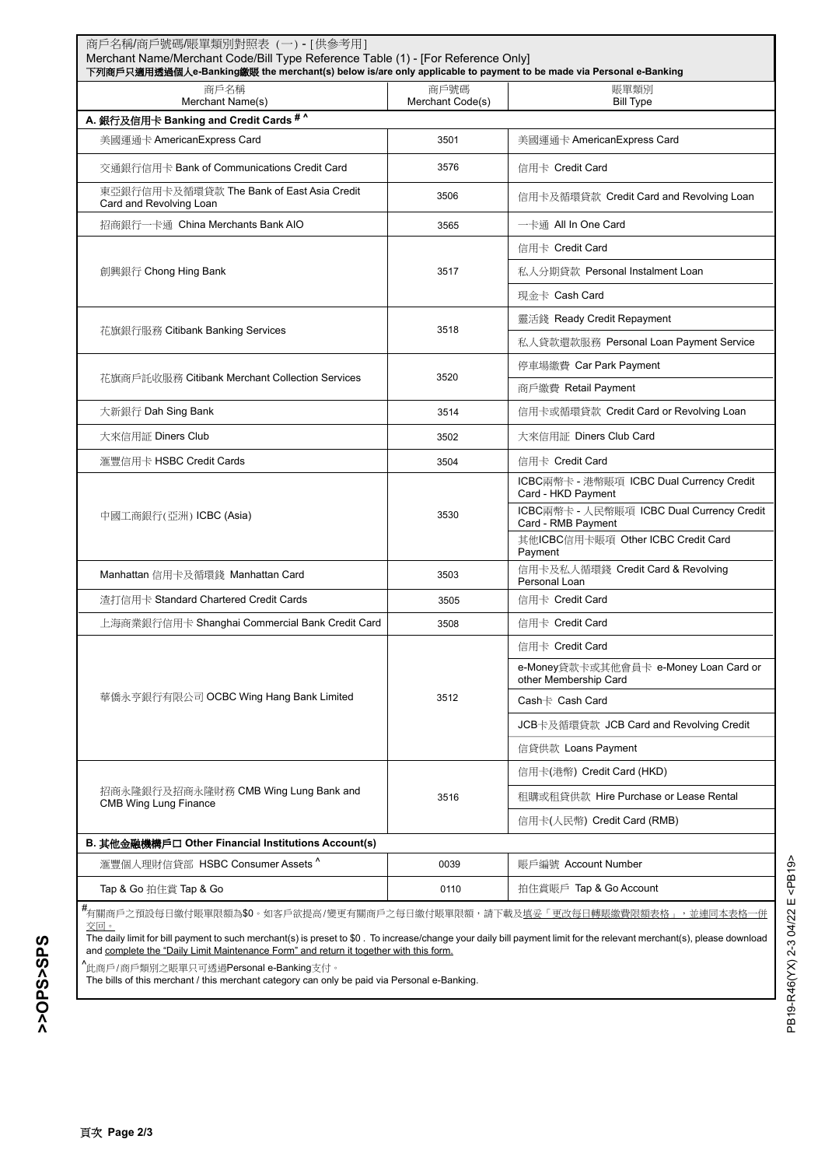| 商戶名稱<br>Merchant Name(s)                                                                                                                                                                                                                                                                                                                                        | 商戶號碼<br>Merchant Code(s) | 賬單類別<br><b>Bill Type</b>                                        |
|-----------------------------------------------------------------------------------------------------------------------------------------------------------------------------------------------------------------------------------------------------------------------------------------------------------------------------------------------------------------|--------------------------|-----------------------------------------------------------------|
| A. 銀行及信用卡 Banking and Credit Cards #^                                                                                                                                                                                                                                                                                                                           |                          |                                                                 |
| 美國運通卡 AmericanExpress Card                                                                                                                                                                                                                                                                                                                                      | 3501                     | 美國運通卡 AmericanExpress Card                                      |
| 交通銀行信用卡 Bank of Communications Credit Card                                                                                                                                                                                                                                                                                                                      | 3576                     | 信用卡 Credit Card                                                 |
| 東亞銀行信用卡及循環貸款 The Bank of East Asia Credit<br>Card and Revolving Loan                                                                                                                                                                                                                                                                                            | 3506                     | 信用卡及循環貸款 Credit Card and Revolving Loan                         |
| 招商銀行一卡通 China Merchants Bank AIO                                                                                                                                                                                                                                                                                                                                | 3565                     | 一卡通 All In One Card                                             |
| 創興銀行 Chong Hing Bank                                                                                                                                                                                                                                                                                                                                            | 3517                     | 信用卡 Credit Card                                                 |
|                                                                                                                                                                                                                                                                                                                                                                 |                          | 私人分期貸款 Personal Instalment Loan                                 |
|                                                                                                                                                                                                                                                                                                                                                                 |                          | 現金卡 Cash Card                                                   |
|                                                                                                                                                                                                                                                                                                                                                                 | 3518                     | 靈活錢 Ready Credit Repayment                                      |
| 花旗銀行服務 Citibank Banking Services                                                                                                                                                                                                                                                                                                                                |                          | 私人貸款還款服務 Personal Loan Payment Service                          |
| 花旗商戶託收服務 Citibank Merchant Collection Services                                                                                                                                                                                                                                                                                                                  | 3520                     | 停車場繳費 Car Park Payment                                          |
|                                                                                                                                                                                                                                                                                                                                                                 |                          | 商戶繳費 Retail Payment                                             |
| 大新銀行 Dah Sing Bank                                                                                                                                                                                                                                                                                                                                              | 3514                     | 信用卡或循環貸款 Credit Card or Revolving Loan                          |
| 大來信用証 Diners Club                                                                                                                                                                                                                                                                                                                                               | 3502                     | 大來信用証 Diners Club Card                                          |
| 滙豐信用卡 HSBC Credit Cards                                                                                                                                                                                                                                                                                                                                         | 3504                     | 信用卡 Credit Card                                                 |
|                                                                                                                                                                                                                                                                                                                                                                 | 3530                     | ICBC兩幣卡 - 港幣賬項 ICBC Dual Currency Credit<br>Card - HKD Payment  |
| 中國工商銀行(亞洲) ICBC (Asia)                                                                                                                                                                                                                                                                                                                                          |                          | ICBC兩幣卡 - 人民幣賬項 ICBC Dual Currency Credit<br>Card - RMB Payment |
|                                                                                                                                                                                                                                                                                                                                                                 |                          | 其他ICBC信用卡賬項 Other ICBC Credit Card<br>Payment                   |
| Manhattan 信用卡及循環錢 Manhattan Card                                                                                                                                                                                                                                                                                                                                | 3503                     | 信用卡及私人循環錢 Credit Card & Revolving<br>Personal Loan              |
| 渣打信用卡 Standard Chartered Credit Cards                                                                                                                                                                                                                                                                                                                           | 3505                     | 信用卡 Credit Card                                                 |
| 上海商業銀行信用卡 Shanghai Commercial Bank Credit Card                                                                                                                                                                                                                                                                                                                  | 3508                     | 信用卡 Credit Card                                                 |
| 華僑永亨銀行有限公司 OCBC Wing Hang Bank Limited                                                                                                                                                                                                                                                                                                                          | 3512                     | 信用卡 Credit Card                                                 |
|                                                                                                                                                                                                                                                                                                                                                                 |                          | e-Money貸款卡或其他會員卡 e-Money Loan Card or<br>other Membership Card  |
|                                                                                                                                                                                                                                                                                                                                                                 |                          | Cash $\dagger$ Cash Card                                        |
|                                                                                                                                                                                                                                                                                                                                                                 |                          | JCB卡及循環貸款 JCB Card and Revolving Credit                         |
|                                                                                                                                                                                                                                                                                                                                                                 |                          | 信貸供款 Loans Payment                                              |
|                                                                                                                                                                                                                                                                                                                                                                 | 3516                     | 信用卡(港幣) Credit Card (HKD)                                       |
| 招商永隆銀行及招商永隆財務 CMB Wing Lung Bank and<br><b>CMB Wing Lung Finance</b>                                                                                                                                                                                                                                                                                            |                          | 租購或租貸供款 Hire Purchase or Lease Rental                           |
|                                                                                                                                                                                                                                                                                                                                                                 |                          | 信用卡(人民幣) Credit Card (RMB)                                      |
| B. 其他金融機構戶口 Other Financial Institutions Account(s)                                                                                                                                                                                                                                                                                                             |                          |                                                                 |
| 滙豐個人理財信貸部 HSBC Consumer Assets ^                                                                                                                                                                                                                                                                                                                                | 0039                     | 賬戶編號 Account Number                                             |
| Tap & Go 拍住賞 Tap & Go                                                                                                                                                                                                                                                                                                                                           | 0110                     | 拍住賞賬戶 Tap & Go Account                                          |
| #<br>有關商戶之預設每日繳付賬單限額為\$0。如客戶欲提高/變更有關商戶之每日繳付賬單限額,請下載及 <u>填妥「更改每日轉賬繳費限額表格」,並連同本表格一併</u><br>交回。<br>The daily limit for bill payment to such merchant(s) is preset to \$0. To increase/change your daily bill payment limit for the relevant merchant(s), please download<br>and complete the "Daily Limit Maintenance Form" and return it together with this form. |                          |                                                                 |

PB19-R46(YX) 2-3 04/22 E <PB19>

PB19-R46(YX) 2-3 04/22 E <PB19>